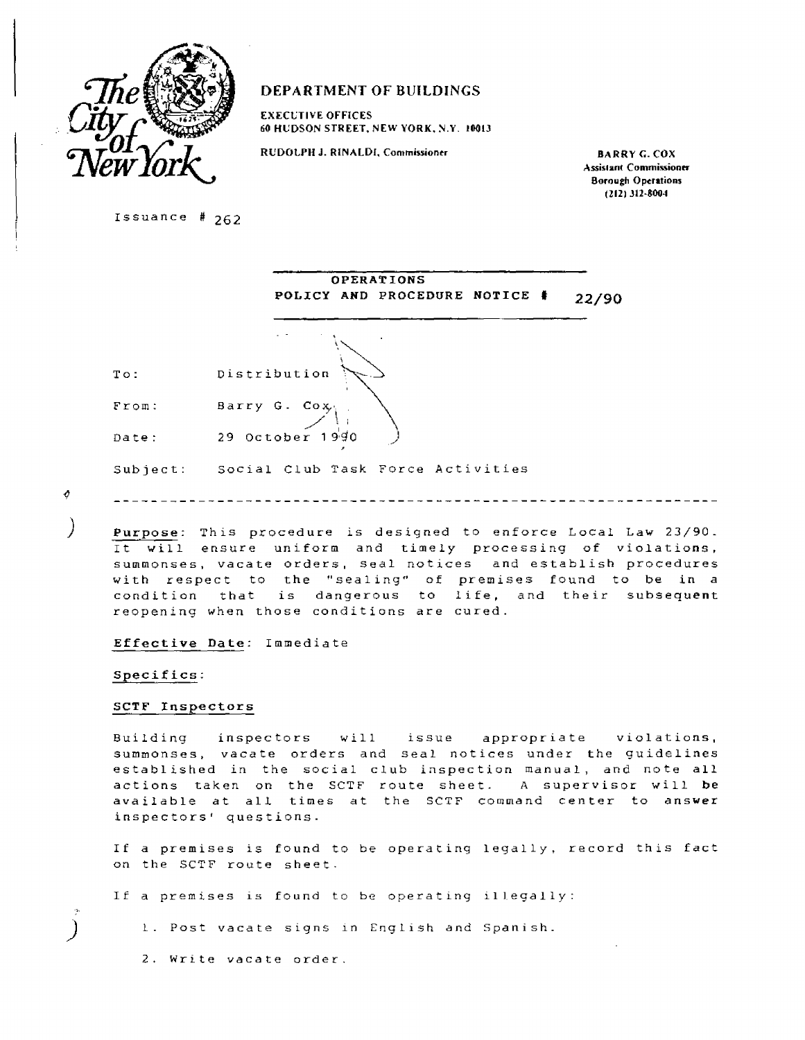

# **DEPARTMENT OF BUILDINGS**

**EXECUTIVE OFFICES 60 HUDSON STREET, NEW YORK, N.Y. 10013** 

RUDOLPH J. RINALDI, Commissioner **BARRY G. COX** 

**Assistant Commissioner Borough Operations (212) 312-8004** 

Issuance # 262

|          | OPERATIONS                             |
|----------|----------------------------------------|
|          | POLICY AND PROCEDURE NOTICE #<br>22/90 |
|          |                                        |
| To:      | Distribution                           |
| From:    | Barry G. Cox                           |
| Date:    | $29$ October $1990$                    |
| Subject: | Social Club Task Force Activities      |

 $\phi$ 

)

Ĺ

**Purpose:** This procedure is designed to enforce Local Law 23/90. It will ensure uniform and timely processing of violations, summonses, vacate orders, seal notices and establish procedures with respect to the "sealing" of premises found to be in a condition that is dangerous to life, and their subsequent reopening when those conditions are cured.

#### **Effective Date:** Immediate

#### **Specifics:**

#### **SCTF Inspectors**

Building inspectors will issue appropriate violations, summonses, vacate orders and seal notices under the guidelines established in the social club inspection manual, and note **all**  actions taken on the SCTF route sheet. A supervisor will **be**  available at all times at the SCTF command center to answer inspectors' questions.

If a premises is found to be operating legally, record this fact on the SCTF route sheet.

If a premises is found to be operating illegally:

1. Post vacate signs in English and Spanish.

2. Write vacate order.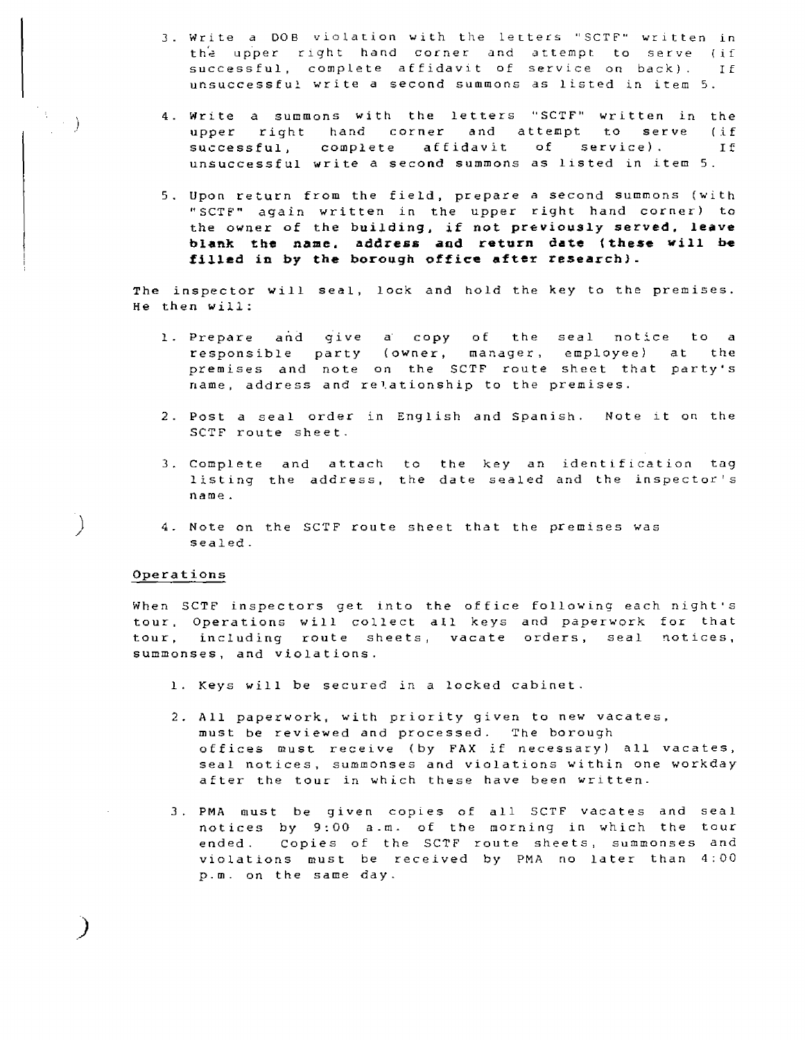- 3. Write a DOB violation with the letters "SCTF" written in the upper right hand corner and attempt to serve (if successful, complete affidavit of service on back). If unsuccessful write a second summons as listed in item 5.
- 4. Write a summons with the letters "SCTF" written in the upper right hand corner and attempt to serve (if successful, complete affidavit of service). It unsuccessful write a second summons as listed in item 5.
- 5. Upon return from the field, prepare a second summons (with "SCTF" again written in the upper right hand corner) to the owner **of the building, if not previously served, leave blank the name. address and return date (these will be filled in by the borough office after research).**

The inspector will seal, lock and hold the key to the premises. He then will:

- 1. Prepare and give a copy of the seal notice to a responsible party (owner, manager, employee) at the premises and note on the SCTF route sheet that party's name, address and relationship to the premises.
- 2. Post a seal order in English and Spanish. Note it on the SCTF route sheet.
- 3 Complete and attach to the key an identification tag listing the address, the date sealed and the inspector's name.
- 4. Note on the SCTF route sheet that the premises was sealed.

# Operations

 $\left\langle \cdot \right\rangle$ 

 $\lambda$ 

When SCTF inspectors get into the office following each night's tour, Operations will collect all keys and paperwork for that tour, including route sheets, vacate orders, seal notices, summonses, and violations.

- 1. Keys will be secured in a locked cabinet.
- 2. All paperwork, with priority given to new vacates, must be reviewed and processed. The borough offices must receive (by FAX if necessary) all vacates, seal notices, summonses and violations within one workday after the tour in which these have been written.
- 3. PMA must be given copies of all SCTF vacates and seal notices by 9:00 a.m. of the morning in which the tour ended. Copies of the SCTF route sheets, summonses and violations must be received by PMA no later than 4:00 p.m. on the same day.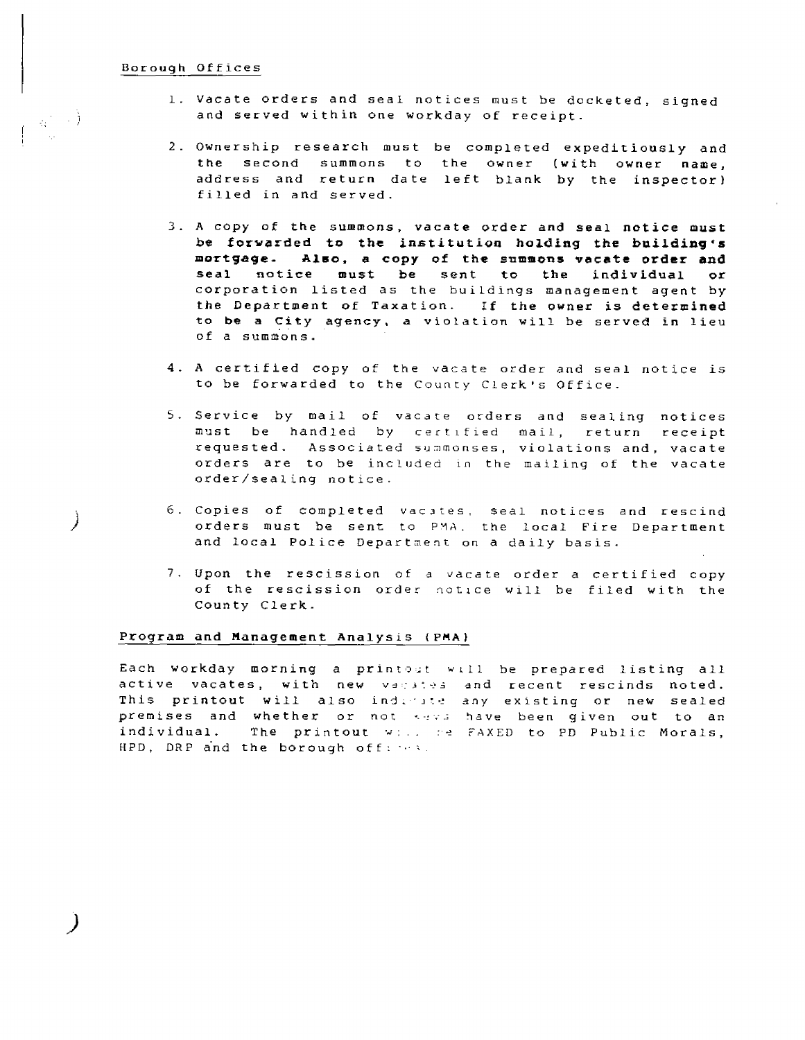#### Borough Offices

<sub>有</sub>一同)

)

- 1. Vacate orders and seal notices must be docketed, signed and served within one workday of receipt.
- 2. Ownership research must be completed expeditiously and the second summons to the owner (with owner name, address and return date left blank by the inspector) filled in and served.
- 3. A copy of **the summons, vacate order and seal notice must be forwarded to the institution holding the building's mortgage- Also, a copy of the summons vacate order and seal notice must be sent to the individual or**  corporation listed as the buildings management agent by **the Department of Taxation. If the owner is determined**  to **be a City agency,** a violation will be served in lieu of a summons.
- 4. A certified copy of the vacate order and seal notice is to be forwarded to the County Clerk's Office\_
- 5. Service by mail of vacate orders and sealing notices must be handled by certified mail, return receipt requested. Associated summonses, violations and, vacate orders are to be included in the mailing of the vacate order/sealing notice.
- 6. Copies of completed vacates, seal notices and rescind orders must be sent to PMA, the local Fire Department and local Police Department on a daily basis.
- 7 Upon the rescission of a vacate order a certified copy of the rescission order notice will be filed with the County Clerk-

# **Program and Management Analysis (PMA)**

Each workday morning a printout will be prepared listing all active vacates, with new vacates and recent rescinds noted. This printout will also indicate any existing or new sealed premises and whether or not keys have been given out to an individual. The printout will be FAXED to PD Public Morals, HPD, DRP and the borough offices.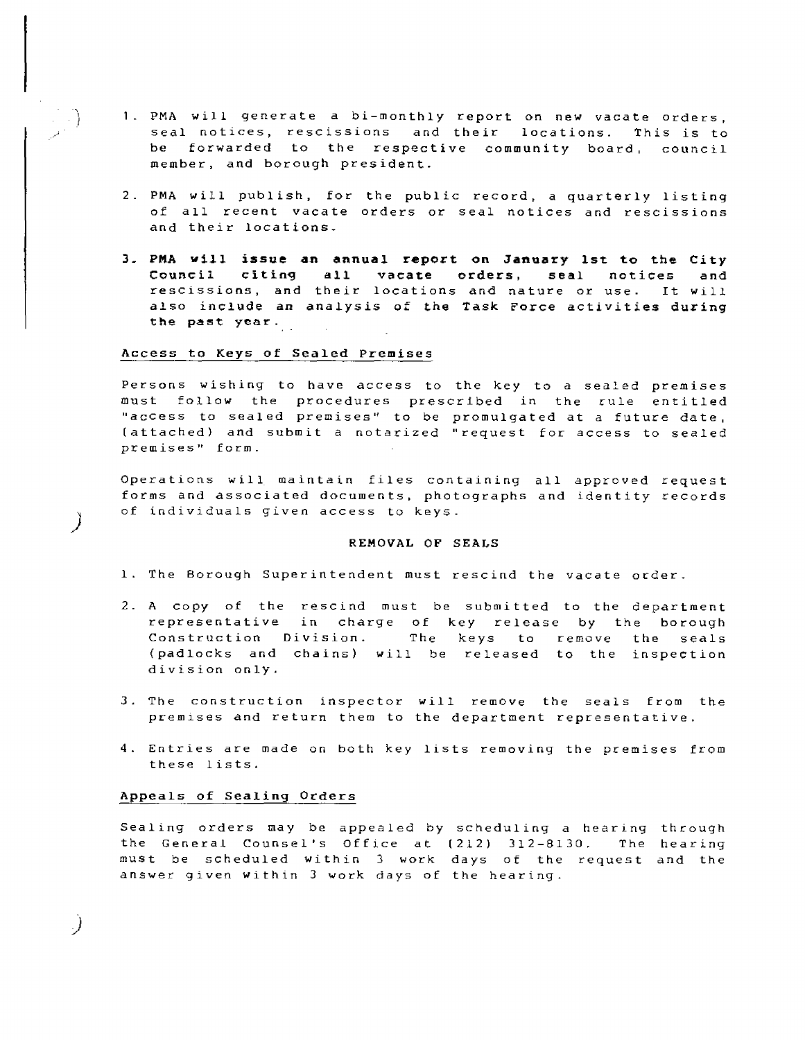- 1 PMA will generate a bi-monthly report on new vacate orders, seal notices, rescissions and their locations. This is to be forwarded to the respective community board, council member, and borough president.
- 2. PMA will publish, for the public record, a quarterly listing of all recent vacate orders or seal notices and rescissions and their locations.
- **3. PMA will issue an annual report on January 1st to the City Council citing all vacate orders, seal notices and**  rescissions, and their locations and nature or use. It will **also include an analysis of the Task Force activities during the past year.**

#### **Access to Keys of Sealed Premises**

Persons wishing to have access to the key to a sealed premises must follow the procedures prescribed in the rule entitled "access to sealed premises" to be promulgated at a future date, (attached) and submit a notarized "request for access to sealed premises" form.

Operations will maintain files containing all approved request forms and associated documents, photographs and identity records of individuals given access to keys.

# **REMOVAL OF SEALS**

- 1. The Borough Superintendent must rescind the vacate order\_
- 2. A copy of the rescind must be submitted to the department representative in charge of key release by the borough Construction Division. The keys to remove the seals (padlocks and chains) will be released to the inspection division only.
- 3. The construction inspector will remove the seals from the premises and return them to the department representative.
- 4. Entries are made on both key lists removing the premises from these lists.

# **Appeals of Sealing Orders**

)

.)

Sealing orders may be appealed by scheduling a hearing through the General Counsel's Office at (212) 312-8130. The hearing must be scheduled within 3 work days of the request and the answer given within 3 work days of the hearing.